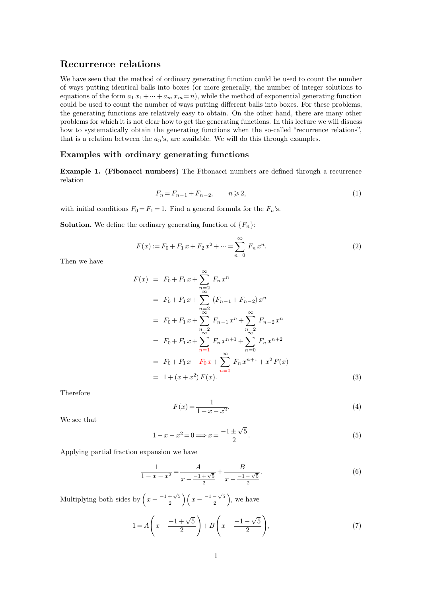**Recurrence relations**<br>We have seen that the method of ordinary **Recurrence relations**<br>We have seen that the method of ordinary generating function could be used to count the number<br>of ways putting identical balls into boxes (or more generally, the number of integer solutions to **Recurrence relations**<br>We have seen that the method of ordinary generating function could be used to count the number<br>of ways putting identical balls into boxes (or more generally, the number of integer solutions to<br>equat **Recurrence relations**<br>We have seen that the method of ordinary generating function could be used to count the number<br>of ways putting identical balls into boxes (or more generally, the number of integer solutions to<br>equat **Recurrence relations**<br>We have seen that the method of ordinary generating function could be used to count the number<br>of ways putting identical balls into boxes (or more generally, the number of integer solutions to<br>equat We have seen that the method of ordinary generating function could be used to count the number<br>of ways putting identical balls into boxes (or more generally, the number of integer solutions to<br>equations of the form  $a_1 x_$ We have seen that the method of ordinary generating function could be used to count the number<br>of ways putting identical balls into boxes (or more generally, the number of integer solutions to<br>equations of the form  $a_1 x_$ of ways putting identical balls into boxes (or more generally, the number of integer solutions to equations of the form  $a_1 x_1 + \dots + a_m x_m = n$ ), while the method of exponential generating function could be used to count the n could be used to count the number of ways putting different balls into boxes. For these problems, the generating functions are relatively easy to obtain. On the other hand, there are many other problems for which it is no problems for which it is not clear how to get the generating functions. In this lecture we will disucs

how to systematically obtain the generating functions when the so-called "recurrence relations", that is a relation between the  $a_n$ 's, are available. We will do this through examples.<br> **Examples with ordinary generating** relation **y** generating functions<br>
mbers) The Fibonacci numbers are defined through a recurrence<br>  $F_n = F_{n-1} + F_{n-2}$ ,  $n \ge 2$ , (1)<br>
= 1 Find a general formula for the *F*.'s **Example 1. (Fibonacci numbers)** The Fibonacci numbers are defined<br>relation<br> $F_n = F_{n-1} + F_{n-2}, \qquad n \geq 2,$ <br>with initial conditions  $F_0 = F_1 = 1$ . Find a general formula for the  $F_n$ 's.<br>Solution. We define the ordinary genera

$$
F_n = F_{n-1} + F_{n-2}, \qquad n \geq 2,\tag{1}
$$

 $F_n = F_{n-1} + F_{n-2}, \t n \ge 2,$ <br>with initial conditions  $F_0 = F_1 = 1$ . Find a general formula for the *F*<br>**Solution.** We define the ordinary generating function of  $\{F_n\}$ :

**Solution.** We define the ordinary generating function of 
$$
\{F_n\}
$$
:  
\n
$$
F(x) := F_0 + F_1 x + F_2 x^2 + \dots = \sum_{n=0}^{\infty} F_n x^n.
$$
\n(2)

$$
F(x) = F_0 + F_1 x + \sum_{n=2}^{\infty} F_n x^n
$$
  
=  $F_0 + F_1 x + \sum_{n=2}^{\infty} (F_{n-1} + F_{n-2}) x^n$   
=  $F_0 + F_1 x + \sum_{n=2}^{\infty} F_{n-1} x^n + \sum_{n=2}^{\infty} F_{n-2} x^n$   
=  $F_0 + F_1 x + \sum_{n=1}^{\infty} F_n x^{n+1} + \sum_{n=0}^{\infty} F_n x^{n+2}$   
=  $F_0 + F_1 x - F_0 x + \sum_{n=0}^{\infty} F_n x^{n+1} + x^2 F(x)$   
=  $1 + (x + x^2) F(x).$  (3)

Therefore

<span id="page-0-0"></span>
$$
F(x) = \frac{1}{1 - x - x^2}.\tag{4}
$$

Therefore  $\mathbf W$ e see that

$$
F(x) = \frac{1}{1 - x - x^2}.
$$
\n
$$
1 - x - x^2 = 0 \Longrightarrow x = \frac{-1 \pm \sqrt{5}}{2}.
$$
\n(5)

\nwhich we have

We see that  $1-x-x^2=0\,{:}\,$  Applying partial fraction expansion we have

expansion we have  
\n
$$
\frac{1}{1-x-x^2} = \frac{A}{x - \frac{-1+\sqrt{5}}{2}} + \frac{B}{x - \frac{-1-\sqrt{5}}{2}}.
$$
\n
$$
f\left(x - \frac{-1+\sqrt{5}}{2}\right)\left(x - \frac{-1-\sqrt{5}}{2}\right), \text{ we have}
$$
\n(6)

 $\frac{1}{1-x-x^2} =$  Multiplying both sides by<br>  $\left(x-\frac{-1+\sqrt{2}}{2}\right)$ 

$$
x = \frac{x}{2} - \frac{1}{2}
$$
  
by  $\left(x - \frac{-1 + \sqrt{5}}{2}\right)\left(x - \frac{-1 - \sqrt{5}}{2}\right)$ , we have  

$$
1 = A\left(x - \frac{-1 + \sqrt{5}}{2}\right) + B\left(x - \frac{-1 - \sqrt{5}}{2}\right),
$$
 (7)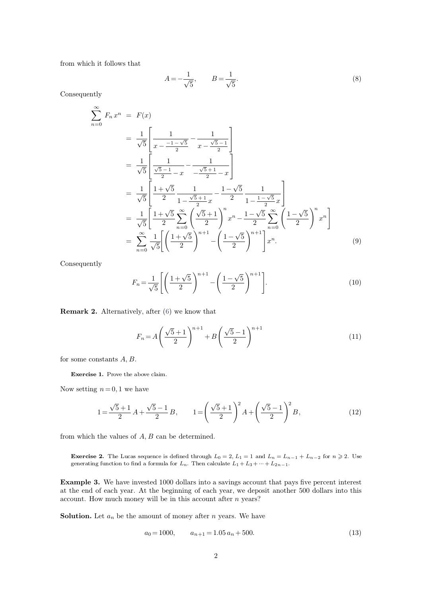from which it follows that

$$
A = -\frac{1}{\sqrt{5}}, \qquad B = \frac{1}{\sqrt{5}}.
$$
 (8)

Consequently

$$
\sum_{n=0}^{\infty} F_n x^n = F(x)
$$
\n
$$
= \frac{1}{\sqrt{5}} \left[ \frac{1}{x - \frac{-1 - \sqrt{5}}{2}} - \frac{1}{x - \frac{\sqrt{5} - 1}{2}} \right]
$$
\n
$$
= \frac{1}{\sqrt{5}} \left[ \frac{1}{\frac{\sqrt{5} - 1}{2} - x} - \frac{1}{-\frac{\sqrt{5} + 1}{2} - x} \right]
$$
\n
$$
= \frac{1}{\sqrt{5}} \left[ \frac{1 + \sqrt{5}}{2} \frac{1}{1 - \frac{\sqrt{5} + 1}{2}x} - \frac{1 - \sqrt{5}}{2} \frac{1}{1 - \frac{1 - \sqrt{5}}{2}x} \right]
$$
\n
$$
= \frac{1}{\sqrt{5}} \left[ \frac{1 + \sqrt{5}}{2} \sum_{n=0}^{\infty} \left( \frac{\sqrt{5} + 1}{2} \right)^n x^n - \frac{1 - \sqrt{5}}{2} \sum_{n=0}^{\infty} \left( \frac{1 - \sqrt{5}}{2} \right)^n x^n \right]
$$
\n
$$
= \sum_{n=0}^{\infty} \frac{1}{\sqrt{5}} \left[ \left( \frac{1 + \sqrt{5}}{2} \right)^{n+1} - \left( \frac{1 - \sqrt{5}}{2} \right)^{n+1} \right] x^n. \tag{9}
$$

Consequently

$$
= \sum_{n=0}^{\infty} \frac{1}{\sqrt{5}} \left[ \left( \frac{1+\sqrt{5}}{2} \right)^{n+1} - \left( \frac{1-\sqrt{5}}{2} \right)^{n+1} \right] x^{n}.
$$
 (9)  
Consequently  

$$
F_n = \frac{1}{\sqrt{5}} \left[ \left( \frac{1+\sqrt{5}}{2} \right)^{n+1} - \left( \frac{1-\sqrt{5}}{2} \right)^{n+1} \right].
$$
 (10)  
**Remark 2.** Alternatively, after (6) we know that

**Remark 2.** Alternatively, after (6) we know that  
\n
$$
F_n = A \left( \frac{\sqrt{5} + 1}{2} \right)^{n+1} + B \left( \frac{\sqrt{5} - 1}{2} \right)^{n+1}
$$
\nfor some constants *A*, *B*.  
\n**Exercise 1.** Prove the above claim.

for some constants  $A, B$ .<br>Exercise 1. Prove the above<br>Now setting  $n = 0, 1$  we have

1. Prove the above claim.  
\n
$$
n = 0, 1
$$
 we have  
\n
$$
1 = \frac{\sqrt{5} + 1}{2} A + \frac{\sqrt{5} - 1}{2} B, \qquad 1 = \left(\frac{\sqrt{5} + 1}{2}\right)^2 A + \left(\frac{\sqrt{5} - 1}{2}\right)^2 B,
$$
\n(12)

from which the values of *A; B* can be determined.

**Exercise 2.** The Lucas sequence is defined through  $L_0 = 2$ ,  $L_1 = 1$  and  $L_n = L_{n-1} + L_{n-2}$  for  $n \ge 2$ . Use generating function to find a formula for  $L_n$ . Then calculate  $L_1 + L_3 + \dots + L_{2n-1}$ . m which the values of *A*, *B* can be determined.<br> **Exercise 2.** The Lucas sequence is defined through  $L_0 = 2$ ,  $L_1 = 1$  and  $L_n = L_{n-1}$  + generating function to find a formula for  $L_n$ . Then calculate  $L_1 + L_3 + \dots + L_{2n-1$ 

**Exercise 2.** The Lucas sequence is defined through  $L_0 = 2$ ,  $L_1 = 1$  and  $L_n = L_{n-1} + L_{n-2}$  for  $n \ge 2$ . Use generating function to find a formula for  $L_n$ . Then calculate  $L_1 + L_3 + \cdots + L_{2n-1}$ .<br>**Example 3.** We have inv **Exercise 2.** The Lucas sequence is defined through  $L_0 = 2$ ,  $L_1 = 1$  and  $L_n = L_{n-1} + L_{n-2}$  for  $n \ge 2$ . Use generating function to find a formula for  $L_n$ . Then calculate  $L_1 + L_3 + \cdots + L_{2n-1}$ .<br>**Example 3.** We have inv **Exercise 2.** The Lucas sequence is defined through  $L_0 = 2$ ,  $L_1 = 1$  and  $L_n = 1$  generating function to find a formula for  $L_n$ . Then calculate  $L_1 + L_3 + \cdots + L_{2n-1}$ <br>**Example 3.** We have invested 1000 dollars into a sav **Example 3.** We have invested 1000 dollars into a savings account that p at the end of each year. At the beginning of each year, we deposit anoth account. How much money will be in this account after *n* years?<br>Solution. For the beginning of each year, we deposit another 500 donars into this<br>will be in this account after *n* years?<br>mount of money after *n* years. We have<br> $a_0 = 1000$ ,  $a_{n+1} = 1.05 a_n + 500$ . (13)

$$
a_0 = 1000, \qquad a_{n+1} = 1.05 \, a_n + 500. \tag{13}
$$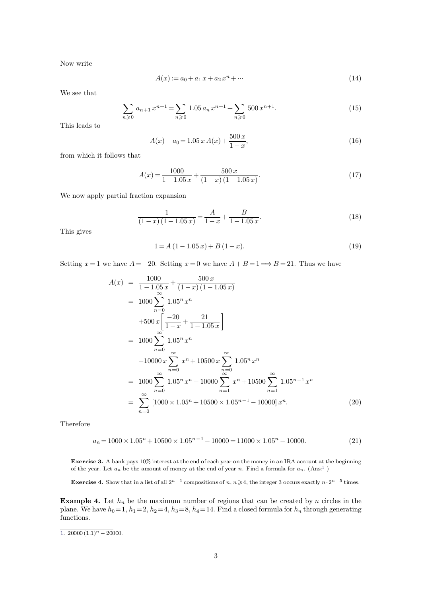Now write

$$
A(x) := a_0 + a_1 x + a_2 x^n + \dots \tag{14}
$$

Now write<br>We see that

$$
\sum_{n\geqslant 0} a_{n+1} x^{n+1} = \sum_{n\geqslant 0} 1.05 a_n x^{n+1} + \sum_{n\geqslant 0} 500 x^{n+1}.
$$
\n(15)\n
$$
A(x) - a_0 = 1.05 x A(x) + \frac{500 x}{1 - x},
$$
\n(16)\n
$$
B(x) = \sum_{n\geqslant 0} a_n x^{n+1} + \sum_{n\geqslant 0} 500 x^{n+1}.
$$

We see that  $\sum_{n=1}^{\infty}$ <br>This leads to

$$
A(x) - a_0 = 1.05 x A(x) + \frac{500 x}{1 - x},
$$
\n(16)

This leads to  $A(x)$ <br>from which it follows that

from which it follows that  
\n
$$
A(x) = \frac{1000}{1 - 1.05 x} + \frac{500 x}{(1 - x)(1 - 1.05 x)}.
$$
\n(17)  
\nWe now apply partial fraction expansion

We now apply possible in the state of the state of the state of the state of the state of the state of the state of the state of the state of the state of the state of the state of the state of the state of the state of th

$$
\frac{1}{(1-x)(1-1.05x)} = \frac{A}{1-x} + \frac{B}{1-1.05x}.
$$
(18)  

$$
1 = A(1-1.05x) + B(1-x).
$$
(19)

$$
1 = A(1 - 1.05 x) + B(1 - x).
$$
\n(19)

This gives<br> $1 = A(1 - 1.05 x) + B(1 - x)$ .<br>Setting  $x = 1$  we have  $A = -20$ . Setting  $x = 0$  we have  $A + B = 1 \Longrightarrow B = 21$ . Thus we have

$$
A(x) = \frac{1000}{1 - 1.05x} + \frac{500 x}{(1 - x)(1 - 1.05 x)}
$$
  
=  $1000 \sum_{n=0}^{\infty} 1.05^n x^n$   
+  $500 x \left[ \frac{-20}{1 - x} + \frac{21}{1 - 1.05 x} \right]$   
=  $1000 \sum_{n=0}^{\infty} 1.05^n x^n$   
-  $10000 x \sum_{n=0}^{\infty} x^n + 10500 x \sum_{n=0}^{\infty} 1.05^n x^n$   
=  $1000 \sum_{n=0}^{\infty} 1.05^n x^n - 10000 \sum_{n=1}^{\infty} x^n + 10500 \sum_{n=1}^{\infty} 1.05^{n-1} x^n$   
=  $\sum_{n=0}^{\infty} [1000 \times 1.05^n + 10500 \times 1.05^{n-1} - 10000] x^n$ . (20)

Therefore

<span id="page-2-0"></span>
$$
a_n = 1000 \times 1.05^n + 10500 \times 1.05^{n-1} - 10000 = 11000 \times 1.05^n - 10000.
$$
 (21)

 $a_n = 1000 \times 1.05^n + 10500 \times 1.05^{n-1} - 10000 = 11000 \times 1.05^n - 10000.$  (21)<br>**Exercise 3.** A bank pays 10% interest at the end of each year on the money in an IRA account at the beginning of the year. Let  $a_n$  be the amount o  $a_n = 1000 \times 1.05^n + 10500 \times 1.05^{n-1} - 10000 = 11000 \times 1.05^n - 10000.$ <br> **Exercise 3.** A bank pays 10% interest at the end of each year on the money in an IRA account at the beging of the year. Let  $a_n$  be the amount of money **Exercise 3.** A bank pays 10% interest at the end of each year on the money in an IRA account at the beginning of the year. Let  $a_n$  be the amount of money at the end of year *n*. Find a formula for  $a_n$ . (Ans:<sup>1</sup>) **Exerc** 

times.

**Example 4.** Let  $h_n$  be the maximum number of regions that can be created by *n* circles in the plane. We have  $h_0 = 1$ ,  $h_1 = 2$ ,  $h_2 = 4$ ,  $h_3 = 8$ ,  $h_4 = 14$ . Find a formula for  $a_n$ . (Ans:<sup>1</sup>)<br>**Example 4.** Let  $h_n$  b of the year. Let  $a_n$  be the amount of money at the end of year *n*. Find a formula for  $a_n$ . (Ans:<sup>1</sup>)<br>Exercise 4. Show that in a list of all  $2^{n-1}$  compositions of *n*,  $n \ge 4$ , the integer 3 occurs exactly  $n \cdot 2^{n-5$ functions.

 $\frac{1}{1.20000(1.1)^n - 20000}.$  $\frac{1}{1.20000(1.1)^n - 20000}.$  $\frac{1}{1.20000(1.1)^n - 20000}.$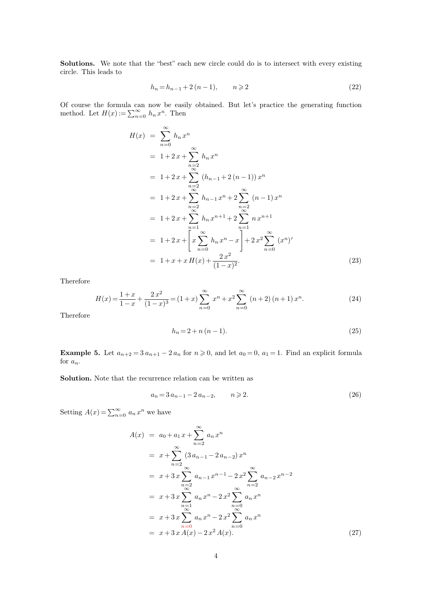**Solutions.** We note that the "best" each new circle could do is to intersect with every existing circle. This leads to **Solutions.** We note that the circle. This leads to *h*<sub>n</sub> = *h*<sub>n</sub><sub>*i*</sub> + 2 (*n* − 1)*, n*  $\geq$  2 (22)<br> *n*  $\geq$  b, so ils shown be the included.

$$
h_n = h_{n-1} + 2(n-1), \qquad n \geqslant 2
$$
\n<sup>(22)</sup>

**Solutions.** We note that the "best" each new circle could do is to intersect with every existing circle. This leads to<br>  $h_n = h_{n-1} + 2(n-1)$ ,  $n \ge 2$  (22)<br>
Of course the formula can now be easily obtained. But let's practi circle. This leads to<br>  $h_n = h_{n-1} +$ <br>
Of course the formula can now be easily<br>
method. Let  $H(x) := \sum_{n=0}^{\infty} h_n x^n$ . Then  $\sum_{n=0}^{\infty} h_n x^n$ . Then  $= h_{n-1} + 2 (n - 1)$ <br>be easily obtain<br><sup>n</sup>. Then

$$
H(x) = \sum_{n=0}^{\infty} h_n x^n
$$
  
=  $1+2x+\sum_{\substack{n=2 \ n \text{ odd}}}^{\infty} h_n x^n$   
=  $1+2x+\sum_{\substack{n=2 \ n \text{ odd}}}^{\infty} (h_{n-1}+2(n-1)) x^n$   
=  $1+2x+\sum_{\substack{n=2 \ n \text{ odd}}}^{\infty} h_{n-1} x^n + 2 \sum_{\substack{n=2 \ n \text{ odd}}}^{\infty} (n-1) x^n$   
=  $1+2x+\sum_{\substack{n=1 \ n \text{ odd}}}^{\infty} h_n x^{n+1} + 2 \sum_{\substack{n=1 \ n \text{ odd}}}^{\infty} n x^{n+1}$   
=  $1+2x+\left[x \sum_{n=0}^{\infty} h_n x^n - x\right] + 2x^2 \sum_{n=0}^{\infty} (x^n)'$   
=  $1+x+xH(x)+\frac{2x^2}{(1-x)^2}.$  (23)

Therefore

$$
= 1 + x + xH(x) + \frac{2x^2}{(1-x)^2}.
$$
\n
$$
H(x) = \frac{1+x}{1-x} + \frac{2x^2}{(1-x)^3} = (1+x)\sum_{n=0}^{\infty} x^n + x^2 \sum_{n=0}^{\infty} (n+2) (n+1) x^n.
$$
\n
$$
h_n = 2 + n (n - 1).
$$
\n(25)

Therefore

$$
h_n = 2 + n(n - 1).
$$
\n(25)

**Example 5.** Let  $a_{n+2} = 3 a_{n+1} - 2 a_n$  for  $n \ge 0$ , and let  $a_0 = 0$ ,  $a_1 = 1$ . Find an explicit formula for  $a_n$ . for  $a_n$ . **Example 5.** Let  $a_{n+2} = 3 a_{n+1} - 2 a_n$  for  $n \ge 0$ , and let  $a_0 = 0$ ,  $a_1 =$ <br>**Solution.** Note that the recurrence relation can be written as  $a_1 + 1 - 2 a_n$  for  $n \ge 0$ , and let  $a_0 = 0$ ,  $a_1 = 1$ . Find an explicit formula<br>
arrence relation can be written as<br>  $a_n = 3 a_{n-1} - 2 a_{n-2}$ ,  $n \ge 2$ . (26)

recurrence relation<br> $a_n = 3 a_{n-1} - 3$ <br> $a_{n-1}$ 

$$
a_n = 3 a_{n-1} - 2 a_{n-2}, \qquad n \geqslant 2. \tag{26}
$$

Setting  $A(x) = \sum_{n=0}^{\infty} a_n x^n$  we have

$$
A(x) = a_0 + a_1 x + \sum_{n=2}^{\infty} a_n x^n
$$
  
=  $x + \sum_{n=2}^{\infty} (3 a_{n-1} - 2 a_{n-2}) x^n$   
=  $x + 3x \sum_{\substack{n=2 \ n \text{odd } n}}^{\infty} a_{n-1} x^{n-1} - 2 x^2 \sum_{n=2}^{\infty} a_{n-2} x^{n-2}$   
=  $x + 3x \sum_{\substack{n=1 \ n \text{odd } n}}^{\infty} a_n x^n - 2 x^2 \sum_{\substack{n=0 \ n \text{odd } n}}^{\infty} a_n x^n$   
=  $x + 3x \sum_{\substack{n=0 \ n \text{odd } n}}^{\infty} a_n x^n - 2 x^2 \sum_{n=0}^{\infty} a_n x^n$   
=  $x + 3x A(x) - 2 x^2 A(x)$ . (27)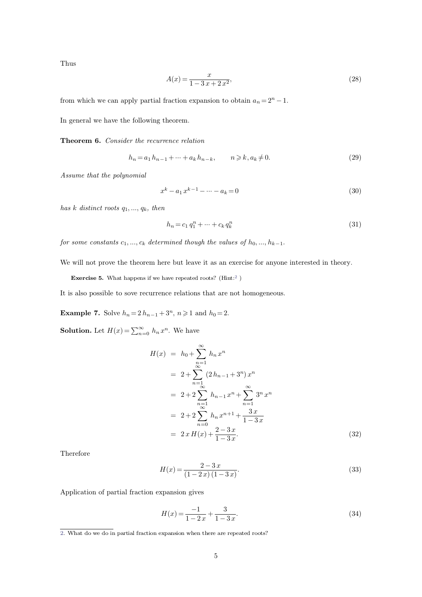Thus

Thus  
\n
$$
A(x) = \frac{x}{1 - 3x + 2x^2},
$$
\n(28)

\nfrom which we can apply partial fraction expansion to obtain  $a_n = 2^n - 1$ .

 $A(x) = \frac{1}{1-3}$ <br>from which we can apply partial fraction exparent<br>In general we have the following theorem. from which we can apply partial fraction expansion to comparel to the set of the recurrence relation.<br> **Theorem 6.** *Consider the recurrence relation* 

**Theorem 6.** Consider the recurrence relation<br> $h_n = a_1 h_{n-1} + \dots + a_k h_n$ <br>*Assume that the polynomial* 

e following theorem.  
\n*er the recurrence relation*  
\n
$$
h_n = a_1 h_{n-1} + \dots + a_k h_{n-k}, \qquad n \ge k, a_k \ne 0.
$$
\n(29)

$$
-1 + \dots + a_k h_{n-k}, \t n \ge k, a_k \ne 0.
$$
\n
$$
(29)
$$
\n
$$
x^k - a_1 x^{k-1} - \dots - a_k = 0
$$
\n
$$
a_n
$$
\n
$$
b_n = c_1 a_1^n + \dots + c_k a_k^n
$$
\n
$$
(31)
$$

*has*  $k$  *distinct roots*  $q_1, ..., q_k$ *, then* 

<span id="page-4-0"></span>
$$
h_n = c_1 q_1^n + \dots + c_k q_k^n \tag{31}
$$

has k distinct roots  $q_1, ..., q_k$ , then<br>  $h_n = c_1 q_1^n + ... + c_k q_k^n$  (31)<br>
for some constants  $c_1, ..., c_k$  determined though the values of  $h_0, ..., h_{k-1}$ .<br>
We will not prove the theorem here but leave it as an exercise for anyone inter for some constants  $c_1, ..., c_k$  determined though the values of  $h_0, ..., h_{k-1}$ .<br>We will not prove the theorem here but leave it as an exercise for anyone interested in theory.<br>**Exercise 5.** What happens if we have repeated ro We will not prove the theorem here but leave it as an exercise for anyone into<br>**Exercise 5.** What happens if we have repeated roots? (Hint:<sup>2</sup>)<br>It is also possible to sove recurrence relations that are not homogeneous.

**Example 7.** Solve *h*<sub>*n*</sub> = 2 *h*<sub>*n*</sub> - 1 + 3<sup>*n*</sup>, *n*  $\geq$  1 and *h*<sub>0</sub> = 2.<br>**Solution.** Let  $H(x) = \sum_{n=0}^{\infty} h_n x^n$ . We have

**Example 7.** Solve  $h_n = 2h_{n-1} + 3^n$ ,  $n \ge 1$  and  $h_0 = 2$ .

**Solution.** Let  $H(x) = \sum_{n=0}^{\infty} h_n x^n$ . We have

$$
H(x) = h_0 + \sum_{n=1}^{\infty} h_n x^n
$$
  
=  $2 + \sum_{n=1}^{\infty} (2h_{n-1} + 3^n) x^n$   
=  $2 + 2 \sum_{n=1}^{\infty} h_{n-1} x^n + \sum_{n=1}^{\infty} 3^n x^n$   
=  $2 + 2 \sum_{n=0}^{\infty} h_n x^{n+1} + \frac{3 x}{1 - 3 x}$   
=  $2 x H(x) + \frac{2 - 3 x}{1 - 3 x}.$  (32)

Therefore

$$
H(x) = \frac{2 - 3x}{(1 - 2x)(1 - 3x)}.\t(33)
$$

Application of partial fraction expansion gives

$$
H(x) = \frac{-1}{1 - 2x} + \frac{3}{1 - 3x}.\tag{34}
$$

[<sup>2.</sup>](#page-4-0) What do we do in partial fraction expansion when there are repeated roots?